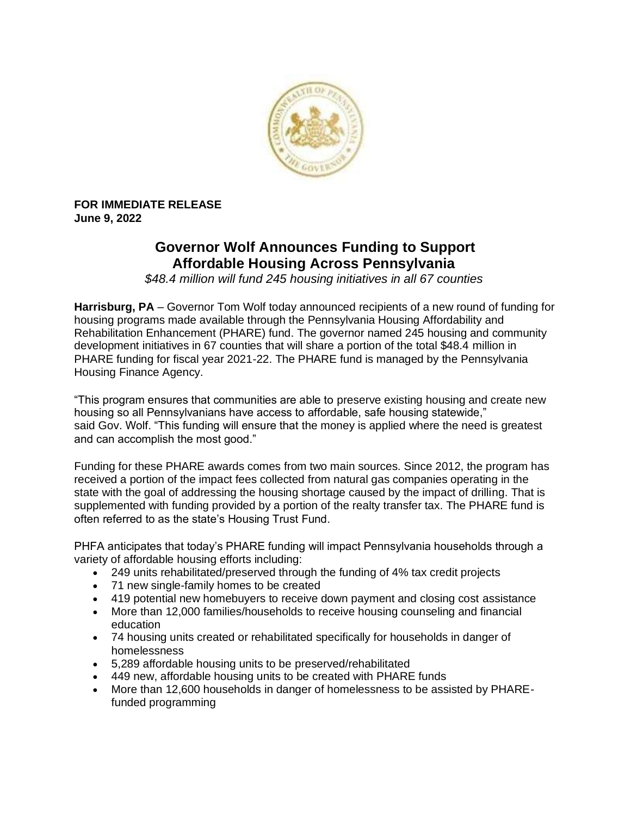

**FOR IMMEDIATE RELEASE June 9, 2022**

## **Governor Wolf Announces Funding to Support Affordable Housing Across Pennsylvania**

*\$48.4 million will fund 245 housing initiatives in all 67 counties*

**Harrisburg, PA** – Governor Tom Wolf today announced recipients of a new round of funding for housing programs made available through the Pennsylvania Housing Affordability and Rehabilitation Enhancement (PHARE) fund. The governor named 245 housing and community development initiatives in 67 counties that will share a portion of the total \$48.4 million in PHARE funding for fiscal year 2021-22. The PHARE fund is managed by the Pennsylvania Housing Finance Agency.

"This program ensures that communities are able to preserve existing housing and create new housing so all Pennsylvanians have access to affordable, safe housing statewide," said Gov. Wolf. "This funding will ensure that the money is applied where the need is greatest and can accomplish the most good."

Funding for these PHARE awards comes from two main sources. Since 2012, the program has received a portion of the impact fees collected from natural gas companies operating in the state with the goal of addressing the housing shortage caused by the impact of drilling. That is supplemented with funding provided by a portion of the realty transfer tax. The PHARE fund is often referred to as the state's Housing Trust Fund.

PHFA anticipates that today's PHARE funding will impact Pennsylvania households through a variety of affordable housing efforts including:

- 249 units rehabilitated/preserved through the funding of 4% tax credit projects
- 71 new single-family homes to be created
- 419 potential new homebuyers to receive down payment and closing cost assistance
- More than 12,000 families/households to receive housing counseling and financial education
- 74 housing units created or rehabilitated specifically for households in danger of homelessness
- 5,289 affordable housing units to be preserved/rehabilitated
- 449 new, affordable housing units to be created with PHARE funds
- More than 12,600 households in danger of homelessness to be assisted by PHAREfunded programming